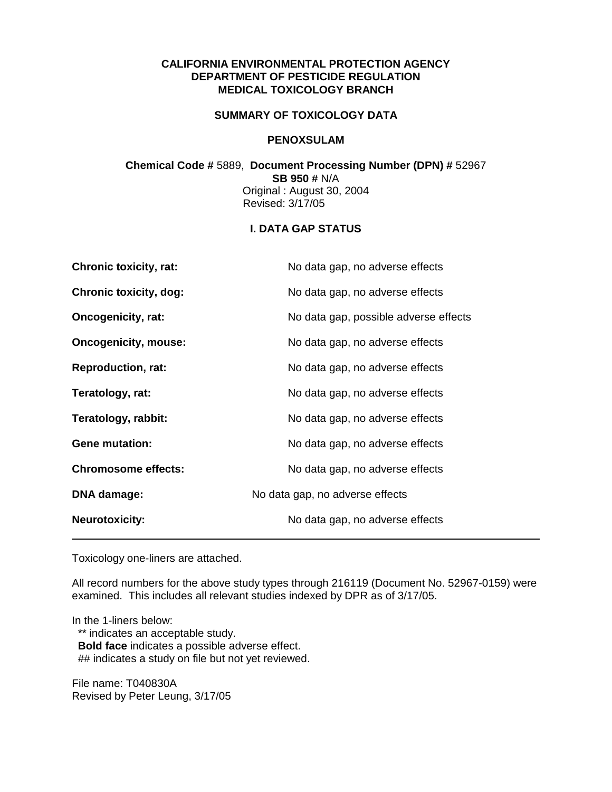## **CALIFORNIA ENVIRONMENTAL PROTECTION AGENCY DEPARTMENT OF PESTICIDE REGULATION MEDICAL TOXICOLOGY BRANCH**

### **SUMMARY OF TOXICOLOGY DATA**

#### **PENOXSULAM**

## **Chemical Code #** 5889, **Document Processing Number (DPN) #** 52967 **SB 950 #** N/A Original : August 30, 2004 Revised: 3/17/05

## **I. DATA GAP STATUS**

| <b>Chronic toxicity, rat:</b> | No data gap, no adverse effects       |
|-------------------------------|---------------------------------------|
| <b>Chronic toxicity, dog:</b> | No data gap, no adverse effects       |
| <b>Oncogenicity, rat:</b>     | No data gap, possible adverse effects |
| <b>Oncogenicity, mouse:</b>   | No data gap, no adverse effects       |
| <b>Reproduction, rat:</b>     | No data gap, no adverse effects       |
| Teratology, rat:              | No data gap, no adverse effects       |
| Teratology, rabbit:           | No data gap, no adverse effects       |
| <b>Gene mutation:</b>         | No data gap, no adverse effects       |
| <b>Chromosome effects:</b>    | No data gap, no adverse effects       |
| DNA damage:                   | No data gap, no adverse effects       |
| <b>Neurotoxicity:</b>         | No data gap, no adverse effects       |

Toxicology one-liners are attached.

All record numbers for the above study types through 216119 (Document No. 52967-0159) were examined. This includes all relevant studies indexed by DPR as of 3/17/05.

In the 1-liners below:

\*\* indicates an acceptable study. **Bold face** indicates a possible adverse effect. ## indicates a study on file but not yet reviewed.

File name: T040830A Revised by Peter Leung, 3/17/05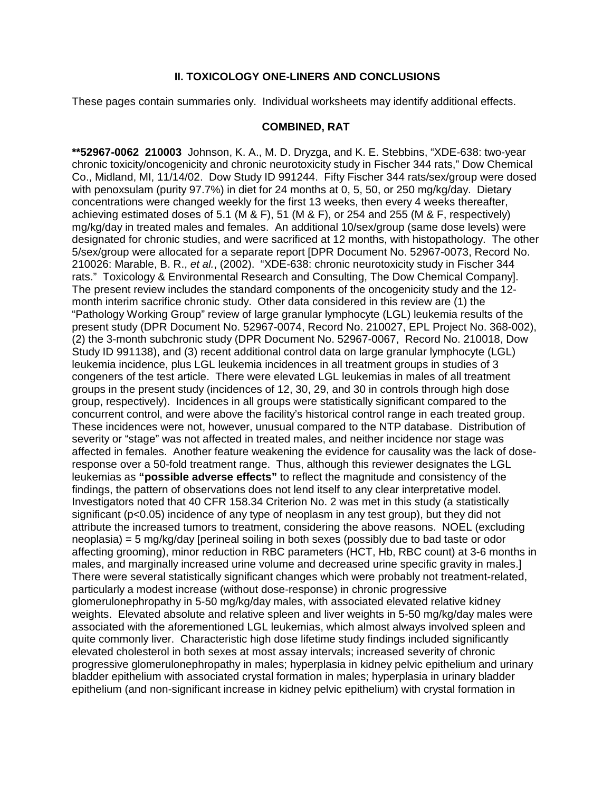### **II. TOXICOLOGY ONE-LINERS AND CONCLUSIONS**

These pages contain summaries only. Individual worksheets may identify additional effects.

## **COMBINED, RAT**

**\*\*52967-0062 210003** Johnson, K. A., M. D. Dryzga, and K. E. Stebbins, "XDE-638: two-year chronic toxicity/oncogenicity and chronic neurotoxicity study in Fischer 344 rats," Dow Chemical Co., Midland, MI, 11/14/02. Dow Study ID 991244. Fifty Fischer 344 rats/sex/group were dosed with penoxsulam (purity 97.7%) in diet for 24 months at 0, 5, 50, or 250 mg/kg/day. Dietary concentrations were changed weekly for the first 13 weeks, then every 4 weeks thereafter, achieving estimated doses of 5.1 (M & F), 51 (M & F), or 254 and 255 (M & F, respectively) mg/kg/day in treated males and females. An additional 10/sex/group (same dose levels) were designated for chronic studies, and were sacrificed at 12 months, with histopathology. The other 5/sex/group were allocated for a separate report [DPR Document No. 52967-0073, Record No. 210026: Marable, B. R., *et al.*, (2002). "XDE-638: chronic neurotoxicity study in Fischer 344 rats." Toxicology & Environmental Research and Consulting, The Dow Chemical Company]. The present review includes the standard components of the oncogenicity study and the 12 month interim sacrifice chronic study. Other data considered in this review are (1) the "Pathology Working Group" review of large granular lymphocyte (LGL) leukemia results of the present study (DPR Document No. 52967-0074, Record No. 210027, EPL Project No. 368-002), (2) the 3-month subchronic study (DPR Document No. 52967-0067, Record No. 210018, Dow Study ID 991138), and (3) recent additional control data on large granular lymphocyte (LGL) leukemia incidence, plus LGL leukemia incidences in all treatment groups in studies of 3 congeners of the test article. There were elevated LGL leukemias in males of all treatment groups in the present study (incidences of 12, 30, 29, and 30 in controls through high dose group, respectively). Incidences in all groups were statistically significant compared to the concurrent control, and were above the facility's historical control range in each treated group. These incidences were not, however, unusual compared to the NTP database. Distribution of severity or "stage" was not affected in treated males, and neither incidence nor stage was affected in females. Another feature weakening the evidence for causality was the lack of doseresponse over a 50-fold treatment range. Thus, although this reviewer designates the LGL leukemias as **"possible adverse effects"** to reflect the magnitude and consistency of the findings, the pattern of observations does not lend itself to any clear interpretative model. Investigators noted that 40 CFR 158.34 Criterion No. 2 was met in this study (a statistically significant (p<0.05) incidence of any type of neoplasm in any test group), but they did not attribute the increased tumors to treatment, considering the above reasons. NOEL (excluding neoplasia) = 5 mg/kg/day [perineal soiling in both sexes (possibly due to bad taste or odor affecting grooming), minor reduction in RBC parameters (HCT, Hb, RBC count) at 3-6 months in males, and marginally increased urine volume and decreased urine specific gravity in males.] There were several statistically significant changes which were probably not treatment-related, particularly a modest increase (without dose-response) in chronic progressive glomerulonephropathy in 5-50 mg/kg/day males, with associated elevated relative kidney weights. Elevated absolute and relative spleen and liver weights in 5-50 mg/kg/day males were associated with the aforementioned LGL leukemias, which almost always involved spleen and quite commonly liver. Characteristic high dose lifetime study findings included significantly elevated cholesterol in both sexes at most assay intervals; increased severity of chronic progressive glomerulonephropathy in males; hyperplasia in kidney pelvic epithelium and urinary bladder epithelium with associated crystal formation in males; hyperplasia in urinary bladder epithelium (and non-significant increase in kidney pelvic epithelium) with crystal formation in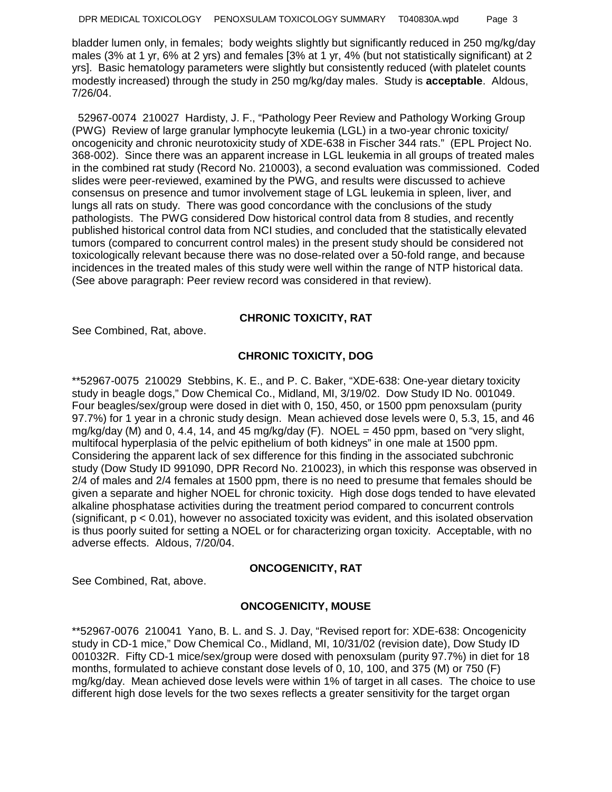bladder lumen only, in females; body weights slightly but significantly reduced in 250 mg/kg/day males (3% at 1 yr, 6% at 2 yrs) and females [3% at 1 yr, 4% (but not statistically significant) at 2 yrs]. Basic hematology parameters were slightly but consistently reduced (with platelet counts modestly increased) through the study in 250 mg/kg/day males. Study is **acceptable**. Aldous, 7/26/04.

 52967-0074 210027 Hardisty, J. F., "Pathology Peer Review and Pathology Working Group (PWG) Review of large granular lymphocyte leukemia (LGL) in a two-year chronic toxicity/ oncogenicity and chronic neurotoxicity study of XDE-638 in Fischer 344 rats." (EPL Project No. 368-002). Since there was an apparent increase in LGL leukemia in all groups of treated males in the combined rat study (Record No. 210003), a second evaluation was commissioned. Coded slides were peer-reviewed, examined by the PWG, and results were discussed to achieve consensus on presence and tumor involvement stage of LGL leukemia in spleen, liver, and lungs all rats on study. There was good concordance with the conclusions of the study pathologists. The PWG considered Dow historical control data from 8 studies, and recently published historical control data from NCI studies, and concluded that the statistically elevated tumors (compared to concurrent control males) in the present study should be considered not toxicologically relevant because there was no dose-related over a 50-fold range, and because incidences in the treated males of this study were well within the range of NTP historical data. (See above paragraph: Peer review record was considered in that review).

# **CHRONIC TOXICITY, RAT**

See Combined, Rat, above.

# **CHRONIC TOXICITY, DOG**

\*\*52967-0075 210029 Stebbins, K. E., and P. C. Baker, "XDE-638: One-year dietary toxicity study in beagle dogs," Dow Chemical Co., Midland, MI, 3/19/02. Dow Study ID No. 001049. Four beagles/sex/group were dosed in diet with 0, 150, 450, or 1500 ppm penoxsulam (purity 97.7%) for 1 year in a chronic study design. Mean achieved dose levels were 0, 5.3, 15, and 46 mg/kg/day (M) and 0, 4.4, 14, and 45 mg/kg/day (F). NOEL = 450 ppm, based on "very slight, multifocal hyperplasia of the pelvic epithelium of both kidneys" in one male at 1500 ppm. Considering the apparent lack of sex difference for this finding in the associated subchronic study (Dow Study ID 991090, DPR Record No. 210023), in which this response was observed in 2/4 of males and 2/4 females at 1500 ppm, there is no need to presume that females should be given a separate and higher NOEL for chronic toxicity. High dose dogs tended to have elevated alkaline phosphatase activities during the treatment period compared to concurrent controls (significant,  $p < 0.01$ ), however no associated toxicity was evident, and this isolated observation is thus poorly suited for setting a NOEL or for characterizing organ toxicity. Acceptable, with no adverse effects. Aldous, 7/20/04.

## **ONCOGENICITY, RAT**

See Combined, Rat, above.

# **ONCOGENICITY, MOUSE**

\*\*52967-0076 210041 Yano, B. L. and S. J. Day, "Revised report for: XDE-638: Oncogenicity study in CD-1 mice," Dow Chemical Co., Midland, MI, 10/31/02 (revision date), Dow Study ID 001032R. Fifty CD-1 mice/sex/group were dosed with penoxsulam (purity 97.7%) in diet for 18 months, formulated to achieve constant dose levels of 0, 10, 100, and 375 (M) or 750 (F) mg/kg/day. Mean achieved dose levels were within 1% of target in all cases. The choice to use different high dose levels for the two sexes reflects a greater sensitivity for the target organ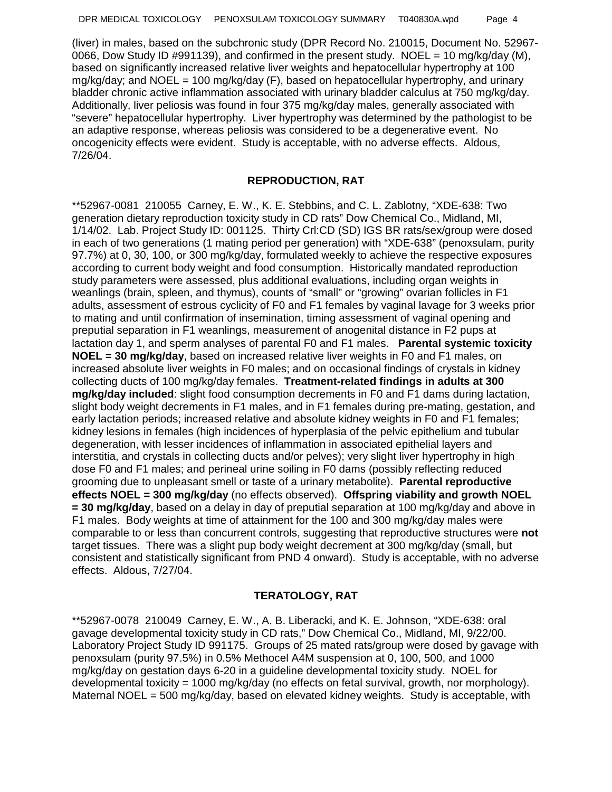(liver) in males, based on the subchronic study (DPR Record No. 210015, Document No. 52967- 0066, Dow Study ID #991139), and confirmed in the present study. NOEL = 10 mg/kg/day (M), based on significantly increased relative liver weights and hepatocellular hypertrophy at 100  $mg/kg/day$ ; and NOEL = 100 mg/kg/day (F), based on hepatocellular hypertrophy, and urinary bladder chronic active inflammation associated with urinary bladder calculus at 750 mg/kg/day. Additionally, liver peliosis was found in four 375 mg/kg/day males, generally associated with "severe" hepatocellular hypertrophy. Liver hypertrophy was determined by the pathologist to be an adaptive response, whereas peliosis was considered to be a degenerative event. No oncogenicity effects were evident. Study is acceptable, with no adverse effects. Aldous, 7/26/04.

## **REPRODUCTION, RAT**

\*\*52967-0081 210055 Carney, E. W., K. E. Stebbins, and C. L. Zablotny, "XDE-638: Two generation dietary reproduction toxicity study in CD rats" Dow Chemical Co., Midland, MI, 1/14/02. Lab. Project Study ID: 001125. Thirty Crl:CD (SD) IGS BR rats/sex/group were dosed in each of two generations (1 mating period per generation) with "XDE-638" (penoxsulam, purity 97.7%) at 0, 30, 100, or 300 mg/kg/day, formulated weekly to achieve the respective exposures according to current body weight and food consumption. Historically mandated reproduction study parameters were assessed, plus additional evaluations, including organ weights in weanlings (brain, spleen, and thymus), counts of "small" or "growing" ovarian follicles in F1 adults, assessment of estrous cyclicity of F0 and F1 females by vaginal lavage for 3 weeks prior to mating and until confirmation of insemination, timing assessment of vaginal opening and preputial separation in F1 weanlings, measurement of anogenital distance in F2 pups at lactation day 1, and sperm analyses of parental F0 and F1 males. **Parental systemic toxicity NOEL = 30 mg/kg/day**, based on increased relative liver weights in F0 and F1 males, on increased absolute liver weights in F0 males; and on occasional findings of crystals in kidney collecting ducts of 100 mg/kg/day females. **Treatment-related findings in adults at 300 mg/kg/day included**: slight food consumption decrements in F0 and F1 dams during lactation, slight body weight decrements in F1 males, and in F1 females during pre-mating, gestation, and early lactation periods; increased relative and absolute kidney weights in F0 and F1 females; kidney lesions in females (high incidences of hyperplasia of the pelvic epithelium and tubular degeneration, with lesser incidences of inflammation in associated epithelial layers and interstitia, and crystals in collecting ducts and/or pelves); very slight liver hypertrophy in high dose F0 and F1 males; and perineal urine soiling in F0 dams (possibly reflecting reduced grooming due to unpleasant smell or taste of a urinary metabolite). **Parental reproductive effects NOEL = 300 mg/kg/day** (no effects observed). **Offspring viability and growth NOEL = 30 mg/kg/day**, based on a delay in day of preputial separation at 100 mg/kg/day and above in F1 males. Body weights at time of attainment for the 100 and 300 mg/kg/day males were comparable to or less than concurrent controls, suggesting that reproductive structures were **not** target tissues. There was a slight pup body weight decrement at 300 mg/kg/day (small, but consistent and statistically significant from PND 4 onward). Study is acceptable, with no adverse effects. Aldous, 7/27/04.

## **TERATOLOGY, RAT**

\*\*52967-0078 210049 Carney, E. W., A. B. Liberacki, and K. E. Johnson, "XDE-638: oral gavage developmental toxicity study in CD rats," Dow Chemical Co., Midland, MI, 9/22/00. Laboratory Project Study ID 991175. Groups of 25 mated rats/group were dosed by gavage with penoxsulam (purity 97.5%) in 0.5% Methocel A4M suspension at 0, 100, 500, and 1000 mg/kg/day on gestation days 6-20 in a guideline developmental toxicity study. NOEL for developmental toxicity = 1000 mg/kg/day (no effects on fetal survival, growth, nor morphology). Maternal NOEL = 500 mg/kg/day, based on elevated kidney weights. Study is acceptable, with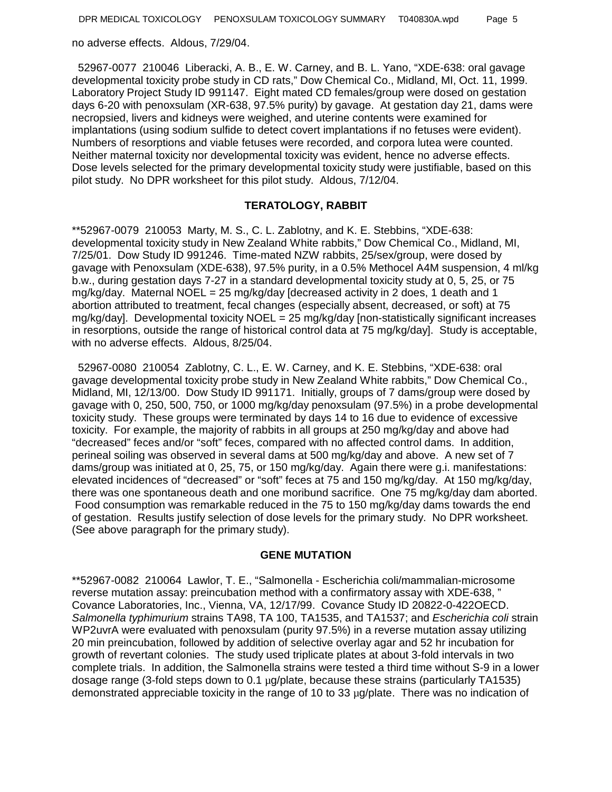no adverse effects. Aldous, 7/29/04.

 52967-0077 210046 Liberacki, A. B., E. W. Carney, and B. L. Yano, "XDE-638: oral gavage developmental toxicity probe study in CD rats," Dow Chemical Co., Midland, MI, Oct. 11, 1999. Laboratory Project Study ID 991147. Eight mated CD females/group were dosed on gestation days 6-20 with penoxsulam (XR-638, 97.5% purity) by gavage. At gestation day 21, dams were necropsied, livers and kidneys were weighed, and uterine contents were examined for implantations (using sodium sulfide to detect covert implantations if no fetuses were evident). Numbers of resorptions and viable fetuses were recorded, and corpora lutea were counted. Neither maternal toxicity nor developmental toxicity was evident, hence no adverse effects. Dose levels selected for the primary developmental toxicity study were justifiable, based on this pilot study. No DPR worksheet for this pilot study. Aldous, 7/12/04.

#### **TERATOLOGY, RABBIT**

\*\*52967-0079 210053 Marty, M. S., C. L. Zablotny, and K. E. Stebbins, "XDE-638: developmental toxicity study in New Zealand White rabbits," Dow Chemical Co., Midland, MI, 7/25/01. Dow Study ID 991246. Time-mated NZW rabbits, 25/sex/group, were dosed by gavage with Penoxsulam (XDE-638), 97.5% purity, in a 0.5% Methocel A4M suspension, 4 ml/kg b.w., during gestation days 7-27 in a standard developmental toxicity study at 0, 5, 25, or 75 mg/kg/day. Maternal NOEL = 25 mg/kg/day [decreased activity in 2 does, 1 death and 1 abortion attributed to treatment, fecal changes (especially absent, decreased, or soft) at 75 mg/kg/day]. Developmental toxicity NOEL =  $25 \text{ mg/kg/day}$  [non-statistically significant increases in resorptions, outside the range of historical control data at 75 mg/kg/day]. Study is acceptable, with no adverse effects. Aldous, 8/25/04.

 52967-0080 210054 Zablotny, C. L., E. W. Carney, and K. E. Stebbins, "XDE-638: oral gavage developmental toxicity probe study in New Zealand White rabbits," Dow Chemical Co., Midland, MI, 12/13/00. Dow Study ID 991171. Initially, groups of 7 dams/group were dosed by gavage with 0, 250, 500, 750, or 1000 mg/kg/day penoxsulam (97.5%) in a probe developmental toxicity study. These groups were terminated by days 14 to 16 due to evidence of excessive toxicity. For example, the majority of rabbits in all groups at 250 mg/kg/day and above had "decreased" feces and/or "soft" feces, compared with no affected control dams. In addition, perineal soiling was observed in several dams at 500 mg/kg/day and above. A new set of 7 dams/group was initiated at 0, 25, 75, or 150 mg/kg/day. Again there were g.i. manifestations: elevated incidences of "decreased" or "soft" feces at 75 and 150 mg/kg/day. At 150 mg/kg/day, there was one spontaneous death and one moribund sacrifice. One 75 mg/kg/day dam aborted. Food consumption was remarkable reduced in the 75 to 150 mg/kg/day dams towards the end of gestation. Results justify selection of dose levels for the primary study. No DPR worksheet. (See above paragraph for the primary study).

#### **GENE MUTATION**

\*\*52967-0082 210064 Lawlor, T. E., "Salmonella - Escherichia coli/mammalian-microsome reverse mutation assay: preincubation method with a confirmatory assay with XDE-638, " Covance Laboratories, Inc., Vienna, VA, 12/17/99. Covance Study ID 20822-0-422OECD. *Salmonella typhimurium* strains TA98, TA 100, TA1535, and TA1537; and *Escherichia coli* strain WP2uvrA were evaluated with penoxsulam (purity 97.5%) in a reverse mutation assay utilizing 20 min preincubation, followed by addition of selective overlay agar and 52 hr incubation for growth of revertant colonies. The study used triplicate plates at about 3-fold intervals in two complete trials. In addition, the Salmonella strains were tested a third time without S-9 in a lower dosage range (3-fold steps down to 0.1 µg/plate, because these strains (particularly TA1535) demonstrated appreciable toxicity in the range of 10 to 33 µg/plate. There was no indication of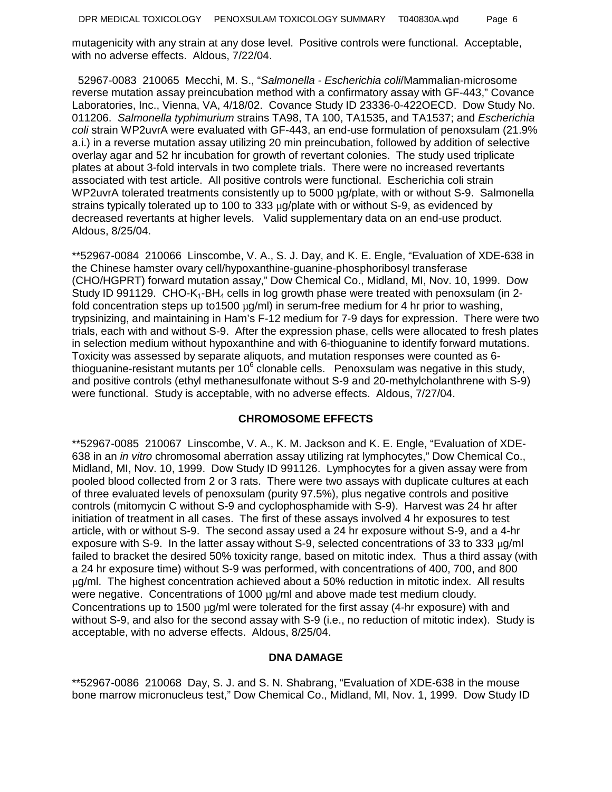mutagenicity with any strain at any dose level. Positive controls were functional. Acceptable, with no adverse effects. Aldous, 7/22/04.

 52967-0083 210065 Mecchi, M. S., "*Salmonella - Escherichia coli*/Mammalian-microsome reverse mutation assay preincubation method with a confirmatory assay with GF-443," Covance Laboratories, Inc., Vienna, VA, 4/18/02. Covance Study ID 23336-0-422OECD. Dow Study No. 011206. *Salmonella typhimurium* strains TA98, TA 100, TA1535, and TA1537; and *Escherichia coli* strain WP2uvrA were evaluated with GF-443, an end-use formulation of penoxsulam (21.9% a.i.) in a reverse mutation assay utilizing 20 min preincubation, followed by addition of selective overlay agar and 52 hr incubation for growth of revertant colonies. The study used triplicate plates at about 3-fold intervals in two complete trials. There were no increased revertants associated with test article. All positive controls were functional. Escherichia coli strain WP2uvrA tolerated treatments consistently up to 5000 µg/plate, with or without S-9. Salmonella strains typically tolerated up to 100 to 333 µg/plate with or without S-9, as evidenced by decreased revertants at higher levels. Valid supplementary data on an end-use product. Aldous, 8/25/04.

\*\*52967-0084 210066 Linscombe, V. A., S. J. Day, and K. E. Engle, "Evaluation of XDE-638 in the Chinese hamster ovary cell/hypoxanthine-guanine-phosphoribosyl transferase (CHO/HGPRT) forward mutation assay," Dow Chemical Co., Midland, MI, Nov. 10, 1999. Dow Study ID 991129. CHO-K<sub>1</sub>-BH<sub>4</sub> cells in log growth phase were treated with penoxsulam (in 2fold concentration steps up to1500  $\mu$ g/ml) in serum-free medium for 4 hr prior to washing, trypsinizing, and maintaining in Ham's F-12 medium for 7-9 days for expression. There were two trials, each with and without S-9. After the expression phase, cells were allocated to fresh plates in selection medium without hypoxanthine and with 6-thioguanine to identify forward mutations. Toxicity was assessed by separate aliquots, and mutation responses were counted as 6 thioguanine-resistant mutants per 10 $^6$  clonable cells. Penoxsulam was negative in this study, and positive controls (ethyl methanesulfonate without S-9 and 20-methylcholanthrene with S-9) were functional. Study is acceptable, with no adverse effects. Aldous, 7/27/04.

## **CHROMOSOME EFFECTS**

\*\*52967-0085 210067 Linscombe, V. A., K. M. Jackson and K. E. Engle, "Evaluation of XDE-638 in an *in vitro* chromosomal aberration assay utilizing rat lymphocytes," Dow Chemical Co., Midland, MI, Nov. 10, 1999. Dow Study ID 991126. Lymphocytes for a given assay were from pooled blood collected from 2 or 3 rats. There were two assays with duplicate cultures at each of three evaluated levels of penoxsulam (purity 97.5%), plus negative controls and positive controls (mitomycin C without S-9 and cyclophosphamide with S-9). Harvest was 24 hr after initiation of treatment in all cases. The first of these assays involved 4 hr exposures to test article, with or without S-9. The second assay used a 24 hr exposure without S-9, and a 4-hr exposure with S-9. In the latter assay without S-9, selected concentrations of 33 to 333  $\mu$ g/ml failed to bracket the desired 50% toxicity range, based on mitotic index. Thus a third assay (with a 24 hr exposure time) without S-9 was performed, with concentrations of 400, 700, and 800 µg/ml. The highest concentration achieved about a 50% reduction in mitotic index. All results were negative. Concentrations of 1000 µg/ml and above made test medium cloudy. Concentrations up to 1500  $\mu$ g/ml were tolerated for the first assay (4-hr exposure) with and without S-9, and also for the second assay with S-9 (i.e., no reduction of mitotic index). Study is acceptable, with no adverse effects. Aldous, 8/25/04.

#### **DNA DAMAGE**

\*\*52967-0086 210068 Day, S. J. and S. N. Shabrang, "Evaluation of XDE-638 in the mouse bone marrow micronucleus test," Dow Chemical Co., Midland, MI, Nov. 1, 1999. Dow Study ID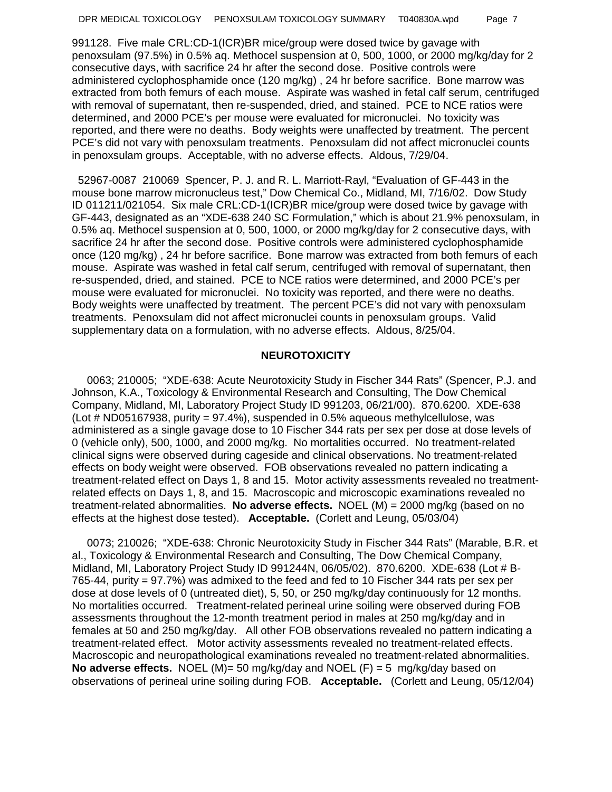991128. Five male CRL:CD-1(ICR)BR mice/group were dosed twice by gavage with penoxsulam (97.5%) in 0.5% aq. Methocel suspension at 0, 500, 1000, or 2000 mg/kg/day for 2 consecutive days, with sacrifice 24 hr after the second dose. Positive controls were administered cyclophosphamide once (120 mg/kg) , 24 hr before sacrifice. Bone marrow was extracted from both femurs of each mouse. Aspirate was washed in fetal calf serum, centrifuged with removal of supernatant, then re-suspended, dried, and stained. PCE to NCE ratios were determined, and 2000 PCE's per mouse were evaluated for micronuclei. No toxicity was reported, and there were no deaths. Body weights were unaffected by treatment. The percent PCE's did not vary with penoxsulam treatments. Penoxsulam did not affect micronuclei counts in penoxsulam groups. Acceptable, with no adverse effects. Aldous, 7/29/04.

 52967-0087 210069 Spencer, P. J. and R. L. Marriott-Rayl, "Evaluation of GF-443 in the mouse bone marrow micronucleus test," Dow Chemical Co., Midland, MI, 7/16/02. Dow Study ID 011211/021054. Six male CRL:CD-1(ICR)BR mice/group were dosed twice by gavage with GF-443, designated as an "XDE-638 240 SC Formulation," which is about 21.9% penoxsulam, in 0.5% aq. Methocel suspension at 0, 500, 1000, or 2000 mg/kg/day for 2 consecutive days, with sacrifice 24 hr after the second dose. Positive controls were administered cyclophosphamide once (120 mg/kg) , 24 hr before sacrifice. Bone marrow was extracted from both femurs of each mouse. Aspirate was washed in fetal calf serum, centrifuged with removal of supernatant, then re-suspended, dried, and stained. PCE to NCE ratios were determined, and 2000 PCE's per mouse were evaluated for micronuclei. No toxicity was reported, and there were no deaths. Body weights were unaffected by treatment. The percent PCE's did not vary with penoxsulam treatments. Penoxsulam did not affect micronuclei counts in penoxsulam groups. Valid supplementary data on a formulation, with no adverse effects. Aldous, 8/25/04.

### **NEUROTOXICITY**

 0063; 210005; "XDE-638: Acute Neurotoxicity Study in Fischer 344 Rats" (Spencer, P.J. and Johnson, K.A., Toxicology & Environmental Research and Consulting, The Dow Chemical Company, Midland, MI, Laboratory Project Study ID 991203, 06/21/00). 870.6200. XDE-638 (Lot # ND05167938, purity = 97.4%), suspended in 0.5% aqueous methylcellulose, was administered as a single gavage dose to 10 Fischer 344 rats per sex per dose at dose levels of 0 (vehicle only), 500, 1000, and 2000 mg/kg. No mortalities occurred. No treatment-related clinical signs were observed during cageside and clinical observations. No treatment-related effects on body weight were observed. FOB observations revealed no pattern indicating a treatment-related effect on Days 1, 8 and 15. Motor activity assessments revealed no treatmentrelated effects on Days 1, 8, and 15. Macroscopic and microscopic examinations revealed no treatment-related abnormalities. **No adverse effects.** NOEL (M) = 2000 mg/kg (based on no effects at the highest dose tested). **Acceptable.** (Corlett and Leung, 05/03/04)

 0073; 210026; "XDE-638: Chronic Neurotoxicity Study in Fischer 344 Rats" (Marable, B.R. et al., Toxicology & Environmental Research and Consulting, The Dow Chemical Company, Midland, MI, Laboratory Project Study ID 991244N, 06/05/02). 870.6200. XDE-638 (Lot # B-765-44, purity = 97.7%) was admixed to the feed and fed to 10 Fischer 344 rats per sex per dose at dose levels of 0 (untreated diet), 5, 50, or 250 mg/kg/day continuously for 12 months. No mortalities occurred. Treatment-related perineal urine soiling were observed during FOB assessments throughout the 12-month treatment period in males at 250 mg/kg/day and in females at 50 and 250 mg/kg/day. All other FOB observations revealed no pattern indicating a treatment-related effect. Motor activity assessments revealed no treatment-related effects. Macroscopic and neuropathological examinations revealed no treatment-related abnormalities. **No adverse effects.** NOEL (M)= 50 mg/kg/day and NOEL (F) = 5 mg/kg/day based on observations of perineal urine soiling during FOB. **Acceptable.** (Corlett and Leung, 05/12/04)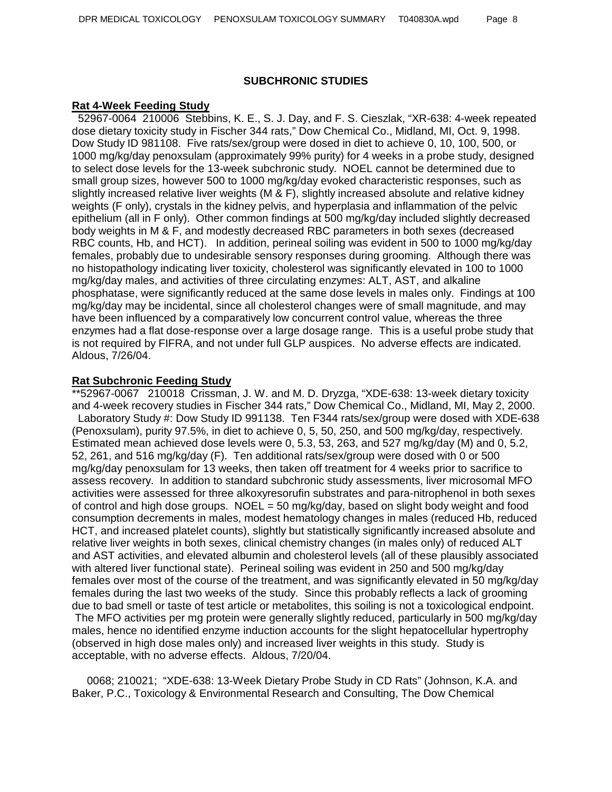### **SUBCHRONIC STUDIES**

#### **Rat 4-Week Feeding Study**

 52967-0064 210006 Stebbins, K. E., S. J. Day, and F. S. Cieszlak, "XR-638: 4-week repeated dose dietary toxicity study in Fischer 344 rats," Dow Chemical Co., Midland, MI, Oct. 9, 1998. Dow Study ID 981108. Five rats/sex/group were dosed in diet to achieve 0, 10, 100, 500, or 1000 mg/kg/day penoxsulam (approximately 99% purity) for 4 weeks in a probe study, designed to select dose levels for the 13-week subchronic study. NOEL cannot be determined due to small group sizes, however 500 to 1000 mg/kg/day evoked characteristic responses, such as slightly increased relative liver weights (M & F), slightly increased absolute and relative kidney weights (F only), crystals in the kidney pelvis, and hyperplasia and inflammation of the pelvic epithelium (all in F only). Other common findings at 500 mg/kg/day included slightly decreased body weights in M & F, and modestly decreased RBC parameters in both sexes (decreased RBC counts, Hb, and HCT). In addition, perineal soiling was evident in 500 to 1000 mg/kg/day females, probably due to undesirable sensory responses during grooming. Although there was no histopathology indicating liver toxicity, cholesterol was significantly elevated in 100 to 1000 mg/kg/day males, and activities of three circulating enzymes: ALT, AST, and alkaline phosphatase, were significantly reduced at the same dose levels in males only. Findings at 100 mg/kg/day may be incidental, since all cholesterol changes were of small magnitude, and may have been influenced by a comparatively low concurrent control value, whereas the three enzymes had a flat dose-response over a large dosage range. This is a useful probe study that is not required by FIFRA, and not under full GLP auspices. No adverse effects are indicated. Aldous, 7/26/04.

#### **Rat Subchronic Feeding Study**

\*\*52967-0067 210018 Crissman, J. W. and M. D. Dryzga, "XDE-638: 13-week dietary toxicity and 4-week recovery studies in Fischer 344 rats," Dow Chemical Co., Midland, MI, May 2, 2000. Laboratory Study #: Dow Study ID 991138. Ten F344 rats/sex/group were dosed with XDE-638 (Penoxsulam), purity 97.5%, in diet to achieve 0, 5, 50, 250, and 500 mg/kg/day, respectively. Estimated mean achieved dose levels were 0, 5.3, 53, 263, and 527 mg/kg/day (M) and 0, 5.2, 52, 261, and 516 mg/kg/day (F). Ten additional rats/sex/group were dosed with 0 or 500 mg/kg/day penoxsulam for 13 weeks, then taken off treatment for 4 weeks prior to sacrifice to assess recovery. In addition to standard subchronic study assessments, liver microsomal MFO activities were assessed for three alkoxyresorufin substrates and para-nitrophenol in both sexes of control and high dose groups. NOEL = 50 mg/kg/day, based on slight body weight and food consumption decrements in males, modest hematology changes in males (reduced Hb, reduced HCT, and increased platelet counts), slightly but statistically significantly increased absolute and relative liver weights in both sexes, clinical chemistry changes (in males only) of reduced ALT and AST activities, and elevated albumin and cholesterol levels (all of these plausibly associated with altered liver functional state). Perineal soiling was evident in 250 and 500 mg/kg/day females over most of the course of the treatment, and was significantly elevated in 50 mg/kg/day females during the last two weeks of the study. Since this probably reflects a lack of grooming due to bad smell or taste of test article or metabolites, this soiling is not a toxicological endpoint. The MFO activities per mg protein were generally slightly reduced, particularly in 500 mg/kg/day males, hence no identified enzyme induction accounts for the slight hepatocellular hypertrophy (observed in high dose males only) and increased liver weights in this study. Study is acceptable, with no adverse effects. Aldous, 7/20/04.

 0068; 210021; "XDE-638: 13-Week Dietary Probe Study in CD Rats" (Johnson, K.A. and Baker, P.C., Toxicology & Environmental Research and Consulting, The Dow Chemical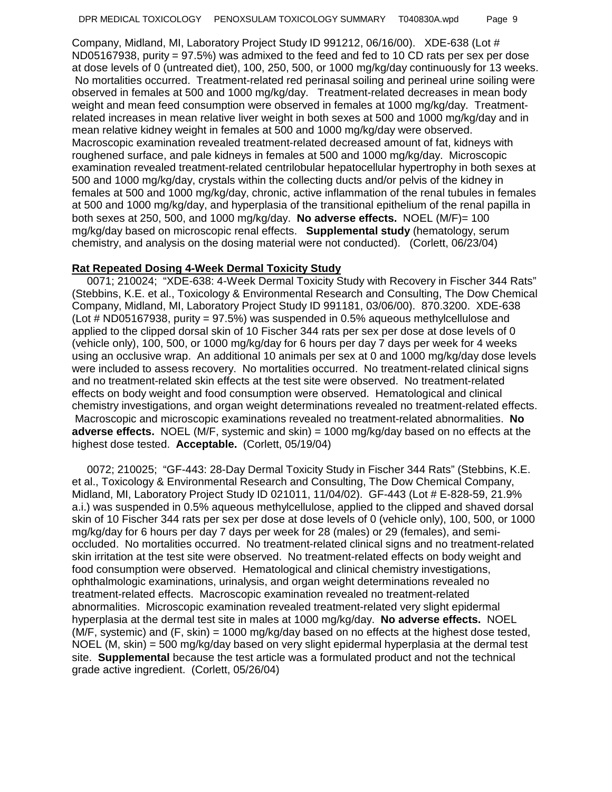Company, Midland, MI, Laboratory Project Study ID 991212, 06/16/00). XDE-638 (Lot # ND05167938, purity = 97.5%) was admixed to the feed and fed to 10 CD rats per sex per dose at dose levels of 0 (untreated diet), 100, 250, 500, or 1000 mg/kg/day continuously for 13 weeks. No mortalities occurred. Treatment-related red perinasal soiling and perineal urine soiling were observed in females at 500 and 1000 mg/kg/day. Treatment-related decreases in mean body weight and mean feed consumption were observed in females at 1000 mg/kg/day. Treatmentrelated increases in mean relative liver weight in both sexes at 500 and 1000 mg/kg/day and in mean relative kidney weight in females at 500 and 1000 mg/kg/day were observed. Macroscopic examination revealed treatment-related decreased amount of fat, kidneys with roughened surface, and pale kidneys in females at 500 and 1000 mg/kg/day. Microscopic examination revealed treatment-related centrilobular hepatocellular hypertrophy in both sexes at 500 and 1000 mg/kg/day, crystals within the collecting ducts and/or pelvis of the kidney in females at 500 and 1000 mg/kg/day, chronic, active inflammation of the renal tubules in females at 500 and 1000 mg/kg/day, and hyperplasia of the transitional epithelium of the renal papilla in both sexes at 250, 500, and 1000 mg/kg/day. **No adverse effects.** NOEL (M/F)= 100 mg/kg/day based on microscopic renal effects. **Supplemental study** (hematology, serum chemistry, and analysis on the dosing material were not conducted). (Corlett, 06/23/04)

## **Rat Repeated Dosing 4-Week Dermal Toxicity Study**

 0071; 210024; "XDE-638: 4-Week Dermal Toxicity Study with Recovery in Fischer 344 Rats" (Stebbins, K.E. et al., Toxicology & Environmental Research and Consulting, The Dow Chemical Company, Midland, MI, Laboratory Project Study ID 991181, 03/06/00). 870.3200. XDE-638 (Lot # ND05167938, purity = 97.5%) was suspended in 0.5% aqueous methylcellulose and applied to the clipped dorsal skin of 10 Fischer 344 rats per sex per dose at dose levels of 0 (vehicle only), 100, 500, or 1000 mg/kg/day for 6 hours per day 7 days per week for 4 weeks using an occlusive wrap. An additional 10 animals per sex at 0 and 1000 mg/kg/day dose levels were included to assess recovery. No mortalities occurred. No treatment-related clinical signs and no treatment-related skin effects at the test site were observed. No treatment-related effects on body weight and food consumption were observed. Hematological and clinical chemistry investigations, and organ weight determinations revealed no treatment-related effects. Macroscopic and microscopic examinations revealed no treatment-related abnormalities. **No adverse effects.** NOEL (M/F, systemic and skin) = 1000 mg/kg/day based on no effects at the highest dose tested. **Acceptable.** (Corlett, 05/19/04)

 0072; 210025; "GF-443: 28-Day Dermal Toxicity Study in Fischer 344 Rats" (Stebbins, K.E. et al., Toxicology & Environmental Research and Consulting, The Dow Chemical Company, Midland, MI, Laboratory Project Study ID 021011, 11/04/02). GF-443 (Lot # E-828-59, 21.9% a.i.) was suspended in 0.5% aqueous methylcellulose, applied to the clipped and shaved dorsal skin of 10 Fischer 344 rats per sex per dose at dose levels of 0 (vehicle only), 100, 500, or 1000 mg/kg/day for 6 hours per day 7 days per week for 28 (males) or 29 (females), and semioccluded. No mortalities occurred. No treatment-related clinical signs and no treatment-related skin irritation at the test site were observed. No treatment-related effects on body weight and food consumption were observed. Hematological and clinical chemistry investigations, ophthalmologic examinations, urinalysis, and organ weight determinations revealed no treatment-related effects.Macroscopic examination revealed no treatment-related abnormalities. Microscopic examination revealed treatment-related very slight epidermal hyperplasia at the dermal test site in males at 1000 mg/kg/day. **No adverse effects.** NOEL (M/F, systemic) and (F, skin) = 1000 mg/kg/day based on no effects at the highest dose tested, NOEL (M, skin) = 500 mg/kg/day based on very slight epidermal hyperplasia at the dermal test site. **Supplemental** because the test article was a formulated product and not the technical grade active ingredient. (Corlett, 05/26/04)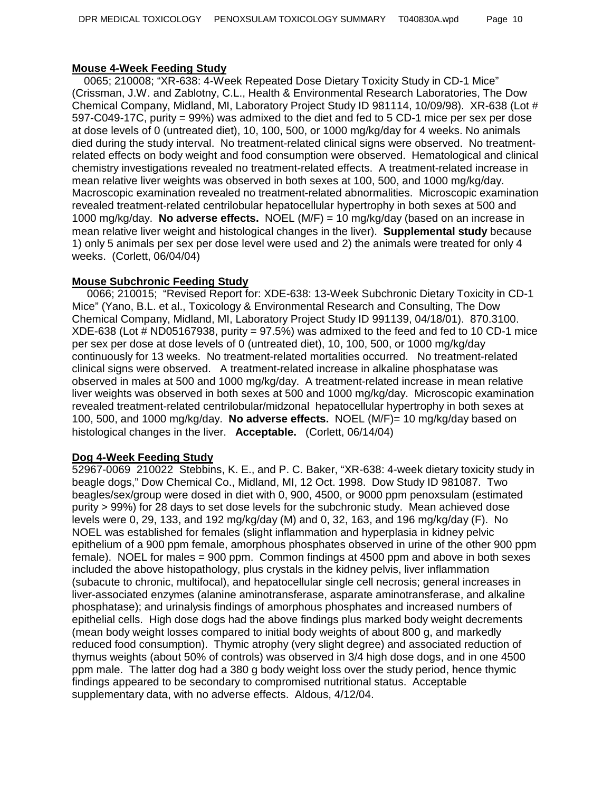## **Mouse 4-Week Feeding Study**

 0065; 210008; "XR-638: 4-Week Repeated Dose Dietary Toxicity Study in CD-1 Mice" (Crissman, J.W. and Zablotny, C.L., Health & Environmental Research Laboratories, The Dow Chemical Company, Midland, MI, Laboratory Project Study ID 981114, 10/09/98). XR-638 (Lot # 597-C049-17C, purity = 99%) was admixed to the diet and fed to 5 CD-1 mice per sex per dose at dose levels of 0 (untreated diet), 10, 100, 500, or 1000 mg/kg/day for 4 weeks. No animals died during the study interval. No treatment-related clinical signs were observed. No treatmentrelated effects on body weight and food consumption were observed. Hematological and clinical chemistry investigations revealed no treatment-related effects.A treatment-related increase in mean relative liver weights was observed in both sexes at 100, 500, and 1000 mg/kg/day. Macroscopic examination revealed no treatment-related abnormalities. Microscopic examination revealed treatment-related centrilobular hepatocellular hypertrophy in both sexes at 500 and 1000 mg/kg/day. **No adverse effects.** NOEL (M/F) = 10 mg/kg/day (based on an increase in mean relative liver weight and histological changes in the liver). **Supplemental study** because 1) only 5 animals per sex per dose level were used and 2) the animals were treated for only 4 weeks. (Corlett, 06/04/04)

## **Mouse Subchronic Feeding Study**

 0066; 210015; "Revised Report for: XDE-638: 13-Week Subchronic Dietary Toxicity in CD-1 Mice" (Yano, B.L. et al., Toxicology & Environmental Research and Consulting, The Dow Chemical Company, Midland, MI, Laboratory Project Study ID 991139, 04/18/01). 870.3100.  $XDE-638$  (Lot # ND05167938, purity = 97.5%) was admixed to the feed and fed to 10 CD-1 mice per sex per dose at dose levels of 0 (untreated diet), 10, 100, 500, or 1000 mg/kg/day continuously for 13 weeks. No treatment-related mortalities occurred. No treatment-related clinical signs were observed. A treatment-related increase in alkaline phosphatase was observed in males at 500 and 1000 mg/kg/day. A treatment-related increase in mean relative liver weights was observed in both sexes at 500 and 1000 mg/kg/day. Microscopic examination revealed treatment-related centrilobular/midzonal hepatocellular hypertrophy in both sexes at 100, 500, and 1000 mg/kg/day. **No adverse effects.** NOEL (M/F)= 10 mg/kg/day based on histological changes in the liver. **Acceptable.** (Corlett, 06/14/04)

### **Dog 4-Week Feeding Study**

52967-0069 210022 Stebbins, K. E., and P. C. Baker, "XR-638: 4-week dietary toxicity study in beagle dogs," Dow Chemical Co., Midland, MI, 12 Oct. 1998. Dow Study ID 981087. Two beagles/sex/group were dosed in diet with 0, 900, 4500, or 9000 ppm penoxsulam (estimated purity > 99%) for 28 days to set dose levels for the subchronic study. Mean achieved dose levels were 0, 29, 133, and 192 mg/kg/day (M) and 0, 32, 163, and 196 mg/kg/day (F). No NOEL was established for females (slight inflammation and hyperplasia in kidney pelvic epithelium of a 900 ppm female, amorphous phosphates observed in urine of the other 900 ppm female). NOEL for males = 900 ppm. Common findings at 4500 ppm and above in both sexes included the above histopathology, plus crystals in the kidney pelvis, liver inflammation (subacute to chronic, multifocal), and hepatocellular single cell necrosis; general increases in liver-associated enzymes (alanine aminotransferase, asparate aminotransferase, and alkaline phosphatase); and urinalysis findings of amorphous phosphates and increased numbers of epithelial cells. High dose dogs had the above findings plus marked body weight decrements (mean body weight losses compared to initial body weights of about 800 g, and markedly reduced food consumption). Thymic atrophy (very slight degree) and associated reduction of thymus weights (about 50% of controls) was observed in 3/4 high dose dogs, and in one 4500 ppm male. The latter dog had a 380 g body weight loss over the study period, hence thymic findings appeared to be secondary to compromised nutritional status. Acceptable supplementary data, with no adverse effects. Aldous, 4/12/04.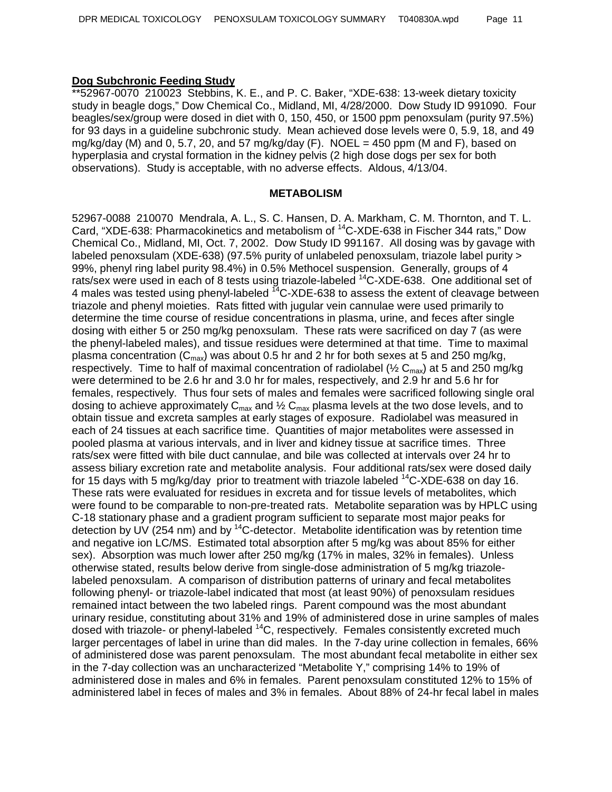# **Dog Subchronic Feeding Study**

\*\*52967-0070 210023 Stebbins, K. E., and P. C. Baker, "XDE-638: 13-week dietary toxicity study in beagle dogs," Dow Chemical Co., Midland, MI, 4/28/2000. Dow Study ID 991090. Four beagles/sex/group were dosed in diet with 0, 150, 450, or 1500 ppm penoxsulam (purity 97.5%) for 93 days in a guideline subchronic study. Mean achieved dose levels were 0, 5.9, 18, and 49 mg/kg/day (M) and 0, 5.7, 20, and 57 mg/kg/day (F). NOEL = 450 ppm (M and F), based on hyperplasia and crystal formation in the kidney pelvis (2 high dose dogs per sex for both observations). Study is acceptable, with no adverse effects. Aldous, 4/13/04.

#### **METABOLISM**

52967-0088 210070 Mendrala, A. L., S. C. Hansen, D. A. Markham, C. M. Thornton, and T. L. Card, "XDE-638: Pharmacokinetics and metabolism of <sup>14</sup>C-XDE-638 in Fischer 344 rats," Dow Chemical Co., Midland, MI, Oct. 7, 2002. Dow Study ID 991167. All dosing was by gavage with labeled penoxsulam (XDE-638) (97.5% purity of unlabeled penoxsulam, triazole label purity > 99%, phenyl ring label purity 98.4%) in 0.5% Methocel suspension. Generally, groups of 4 rats/sex were used in each of 8 tests using triazole-labeled <sup>14</sup>C-XDE-638. One additional set of 4 males was tested using phenyl-labeled  $^{14}$ C-XDE-638 to assess the extent of cleavage between triazole and phenyl moieties. Rats fitted with jugular vein cannulae were used primarily to determine the time course of residue concentrations in plasma, urine, and feces after single dosing with either 5 or 250 mg/kg penoxsulam. These rats were sacrificed on day 7 (as were the phenyl-labeled males), and tissue residues were determined at that time. Time to maximal plasma concentration ( $C_{\text{max}}$ ) was about 0.5 hr and 2 hr for both sexes at 5 and 250 mg/kg, respectively. Time to half of maximal concentration of radiolabel ( $\frac{1}{2}$  C<sub>max</sub>) at 5 and 250 mg/kg were determined to be 2.6 hr and 3.0 hr for males, respectively, and 2.9 hr and 5.6 hr for females, respectively. Thus four sets of males and females were sacrificed following single oral dosing to achieve approximately  $C_{\text{max}}$  and  $\frac{1}{2}$   $C_{\text{max}}$  plasma levels at the two dose levels, and to obtain tissue and excreta samples at early stages of exposure. Radiolabel was measured in each of 24 tissues at each sacrifice time. Quantities of major metabolites were assessed in pooled plasma at various intervals, and in liver and kidney tissue at sacrifice times. Three rats/sex were fitted with bile duct cannulae, and bile was collected at intervals over 24 hr to assess biliary excretion rate and metabolite analysis. Four additional rats/sex were dosed daily for 15 days with 5 mg/kg/day prior to treatment with triazole labeled  $^{14}$ C-XDE-638 on day 16. These rats were evaluated for residues in excreta and for tissue levels of metabolites, which were found to be comparable to non-pre-treated rats. Metabolite separation was by HPLC using C-18 stationary phase and a gradient program sufficient to separate most major peaks for detection by UV (254 nm) and by  $14C$ -detector. Metabolite identification was by retention time and negative ion LC/MS. Estimated total absorption after 5 mg/kg was about 85% for either sex). Absorption was much lower after 250 mg/kg (17% in males, 32% in females). Unless otherwise stated, results below derive from single-dose administration of 5 mg/kg triazolelabeled penoxsulam. A comparison of distribution patterns of urinary and fecal metabolites following phenyl- or triazole-label indicated that most (at least 90%) of penoxsulam residues remained intact between the two labeled rings. Parent compound was the most abundant urinary residue, constituting about 31% and 19% of administered dose in urine samples of males dosed with triazole- or phenyl-labeled <sup>14</sup>C, respectively. Females consistently excreted much larger percentages of label in urine than did males. In the 7-day urine collection in females, 66% of administered dose was parent penoxsulam. The most abundant fecal metabolite in either sex in the 7-day collection was an uncharacterized "Metabolite Y," comprising 14% to 19% of administered dose in males and 6% in females. Parent penoxsulam constituted 12% to 15% of administered label in feces of males and 3% in females. About 88% of 24-hr fecal label in males